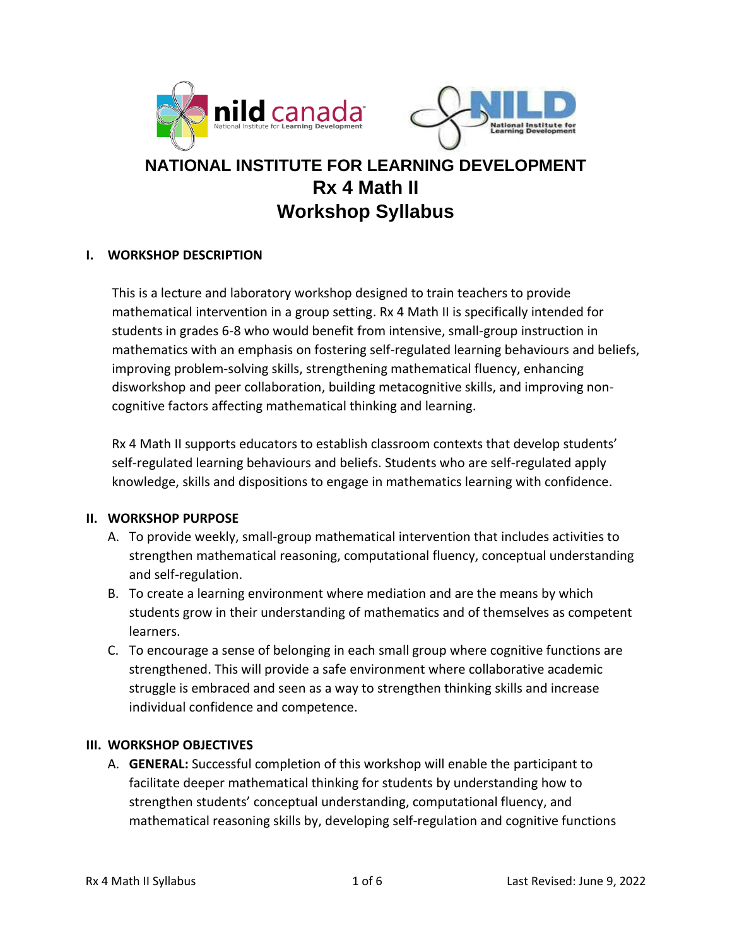



# **NATIONAL INSTITUTE FOR LEARNING DEVELOPMENT Rx 4 Math II Workshop Syllabus**

## **I. WORKSHOP DESCRIPTION**

This is a lecture and laboratory workshop designed to train teachers to provide mathematical intervention in a group setting. Rx 4 Math II is specifically intended for students in grades 6-8 who would benefit from intensive, small-group instruction in mathematics with an emphasis on fostering self-regulated learning behaviours and beliefs, improving problem-solving skills, strengthening mathematical fluency, enhancing disworkshop and peer collaboration, building metacognitive skills, and improving noncognitive factors affecting mathematical thinking and learning.

Rx 4 Math II supports educators to establish classroom contexts that develop students' self-regulated learning behaviours and beliefs. Students who are self-regulated apply knowledge, skills and dispositions to engage in mathematics learning with confidence.

### **II. WORKSHOP PURPOSE**

- A. To provide weekly, small-group mathematical intervention that includes activities to strengthen mathematical reasoning, computational fluency, conceptual understanding and self-regulation.
- B. To create a learning environment where mediation and are the means by which students grow in their understanding of mathematics and of themselves as competent learners.
- C. To encourage a sense of belonging in each small group where cognitive functions are strengthened. This will provide a safe environment where collaborative academic struggle is embraced and seen as a way to strengthen thinking skills and increase individual confidence and competence.

## **III. WORKSHOP OBJECTIVES**

A. **GENERAL:** Successful completion of this workshop will enable the participant to facilitate deeper mathematical thinking for students by understanding how to strengthen students' conceptual understanding, computational fluency, and mathematical reasoning skills by, developing self-regulation and cognitive functions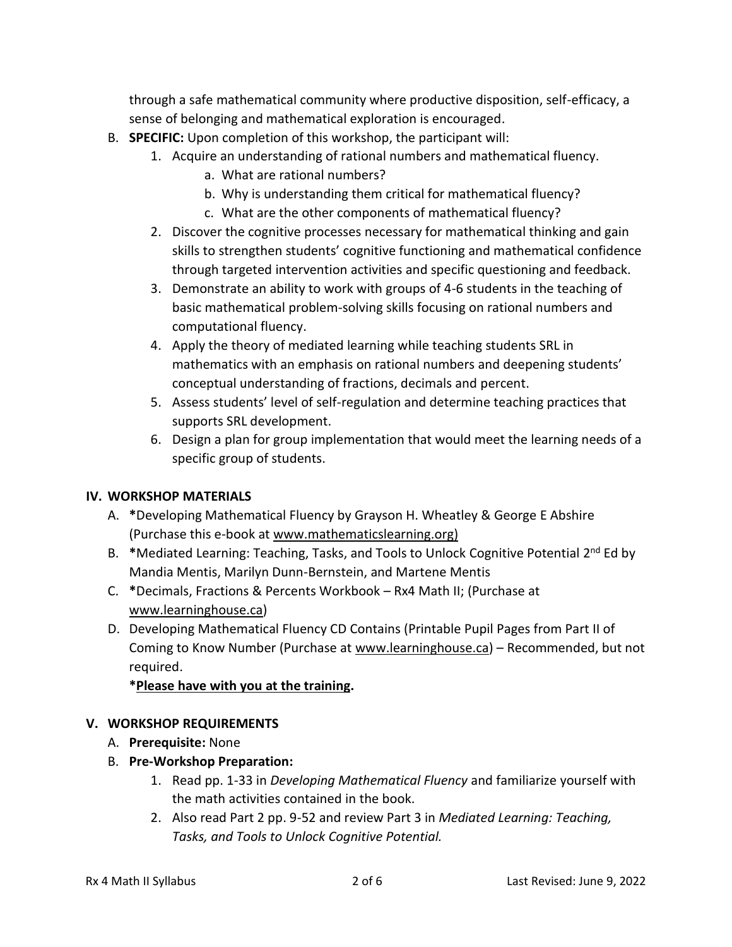through a safe mathematical community where productive disposition, self-efficacy, a sense of belonging and mathematical exploration is encouraged.

- B. **SPECIFIC:** Upon completion of this workshop, the participant will:
	- 1. Acquire an understanding of rational numbers and mathematical fluency.
		- a. What are rational numbers?
		- b. Why is understanding them critical for mathematical fluency?
		- c. What are the other components of mathematical fluency?
	- 2. Discover the cognitive processes necessary for mathematical thinking and gain skills to strengthen students' cognitive functioning and mathematical confidence through targeted intervention activities and specific questioning and feedback.
	- 3. Demonstrate an ability to work with groups of 4-6 students in the teaching of basic mathematical problem-solving skills focusing on rational numbers and computational fluency.
	- 4. Apply the theory of mediated learning while teaching students SRL in mathematics with an emphasis on rational numbers and deepening students' conceptual understanding of fractions, decimals and percent.
	- 5. Assess students' level of self-regulation and determine teaching practices that supports SRL development.
	- 6. Design a plan for group implementation that would meet the learning needs of a specific group of students.

## **IV. WORKSHOP MATERIALS**

- A. **\***Developing Mathematical Fluency by Grayson H. Wheatley & George E Abshire (Purchase this e-book at [www.mathematicslearning.org\)](http://www.mathematicslearning.org/)
- B. \*Mediated Learning: Teaching, Tasks, and Tools to Unlock Cognitive Potential 2<sup>nd</sup> Ed by Mandia Mentis, Marilyn Dunn-Bernstein, and Martene Mentis
- C. **\***Decimals, Fractions & Percents Workbook Rx4 Math II; (Purchase at [www.learninghouse.ca\)](about:blank)
- D. Developing Mathematical Fluency CD Contains (Printable Pupil Pages from Part II of Coming to Know Number (Purchase at [www.learninghouse.ca\)](about:blank) - Recommended, but not required.

## **\*Please have with you at the training.**

## **V. WORKSHOP REQUIREMENTS**

- A. **Prerequisite:** None
- B. **Pre-Workshop Preparation:**
	- 1. Read pp. 1-33 in *Developing Mathematical Fluency* and familiarize yourself with the math activities contained in the book.
	- 2. Also read Part 2 pp. 9-52 and review Part 3 in *Mediated Learning: Teaching, Tasks, and Tools to Unlock Cognitive Potential.*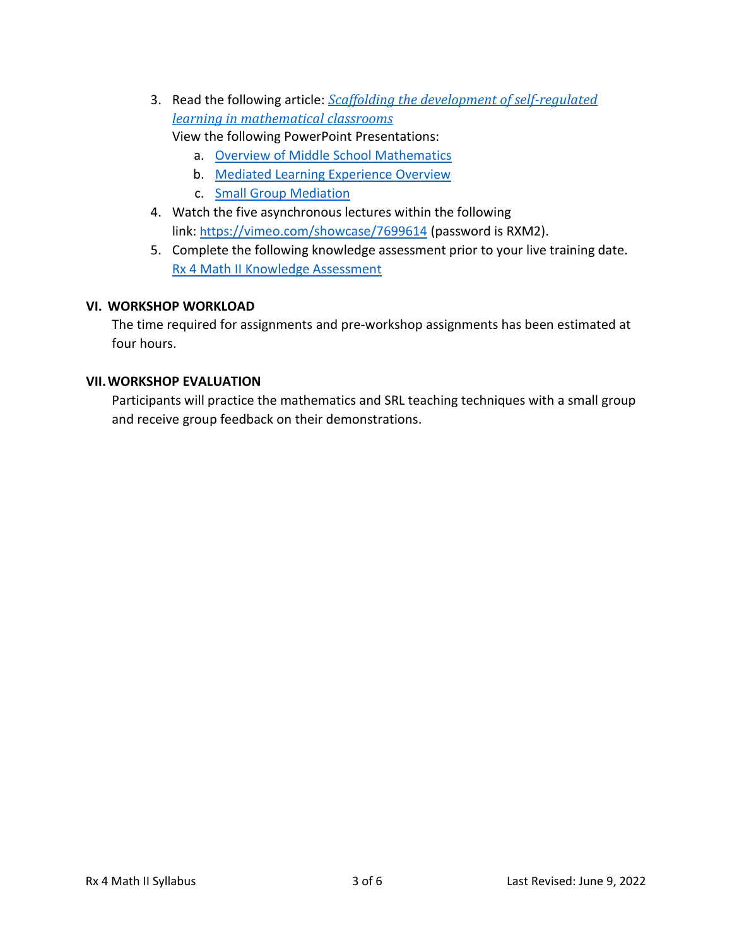- 3. Read the following article: *[Scaffolding the development of self-regulated](about:blank)  [learning in mathematical classrooms](about:blank)*
	- View the following PowerPoint Presentations:
		- a. Overview of Middle School Mathematics
		- b. Mediated Learning Experience Overview
		- c. Small Group Mediation
- 4. Watch the five asynchronous lectures within the following link: [ht](https://vimeo.com/showcase/7699614)[tps://vimeo.com/showcase/7699614](https://vimeo.com/showcase/7699614) (password is RXM2).
- 5. Complete the following knowledge assessment prior to your live training date. [Rx 4 Math II Knowledge Assessment](https://docs.google.com/forms/d/1u6XxXIirEbsG7di9bK-876tfUYrqwqI6mnGdA3R39ZQ/edit)

### **VI. WORKSHOP WORKLOAD**

The time required for assignments and pre-workshop assignments has been estimated at four hours.

### **VII.WORKSHOP EVALUATION**

Participants will practice the mathematics and SRL teaching techniques with a small group and receive group feedback on their demonstrations.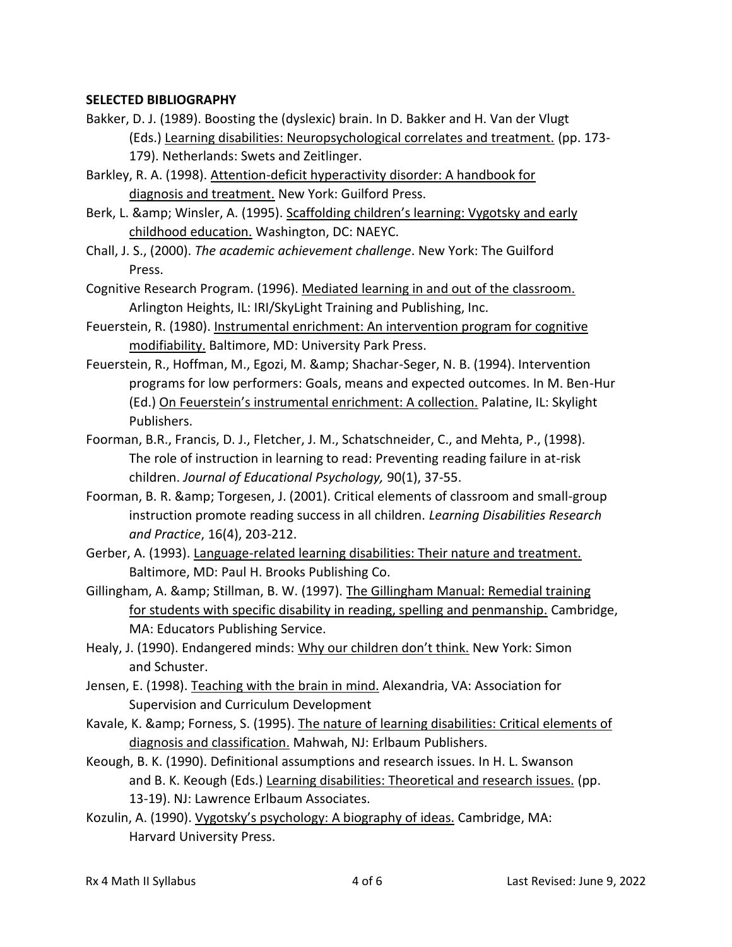### **SELECTED BIBLIOGRAPHY**

- Bakker, D. J. (1989). Boosting the (dyslexic) brain. In D. Bakker and H. Van der Vlugt (Eds.) Learning disabilities: Neuropsychological correlates and treatment. (pp. 173- 179). Netherlands: Swets and Zeitlinger.
- Barkley, R. A. (1998). Attention-deficit hyperactivity disorder: A handbook for diagnosis and treatment. New York: Guilford Press.
- Berk, L. & amp; Winsler, A. (1995). Scaffolding children's learning: Vygotsky and early childhood education. Washington, DC: NAEYC.
- Chall, J. S., (2000). *The academic achievement challenge*. New York: The Guilford Press.
- Cognitive Research Program. (1996). Mediated learning in and out of the classroom. Arlington Heights, IL: IRI/SkyLight Training and Publishing, Inc.
- Feuerstein, R. (1980). Instrumental enrichment: An intervention program for cognitive modifiability. Baltimore, MD: University Park Press.
- Feuerstein, R., Hoffman, M., Egozi, M. & amp; Shachar-Seger, N. B. (1994). Intervention programs for low performers: Goals, means and expected outcomes. In M. Ben-Hur (Ed.) On Feuerstein's instrumental enrichment: A collection. Palatine, IL: Skylight Publishers.
- Foorman, B.R., Francis, D. J., Fletcher, J. M., Schatschneider, C., and Mehta, P., (1998). The role of instruction in learning to read: Preventing reading failure in at-risk children. *Journal of Educational Psychology,* 90(1), 37-55.
- Foorman, B. R. & amp; Torgesen, J. (2001). Critical elements of classroom and small-group instruction promote reading success in all children. *Learning Disabilities Research and Practice*, 16(4), 203-212.
- Gerber, A. (1993). Language-related learning disabilities: Their nature and treatment. Baltimore, MD: Paul H. Brooks Publishing Co.
- Gillingham, A. & amp; Stillman, B. W. (1997). The Gillingham Manual: Remedial training for students with specific disability in reading, spelling and penmanship. Cambridge, MA: Educators Publishing Service.
- Healy, J. (1990). Endangered minds: Why our children don't think. New York: Simon and Schuster.
- Jensen, E. (1998). Teaching with the brain in mind. Alexandria, VA: Association for Supervision and Curriculum Development
- Kavale, K. & amp; Forness, S. (1995). The nature of learning disabilities: Critical elements of diagnosis and classification. Mahwah, NJ: Erlbaum Publishers.
- Keough, B. K. (1990). Definitional assumptions and research issues. In H. L. Swanson and B. K. Keough (Eds.) Learning disabilities: Theoretical and research issues. (pp. 13-19). NJ: Lawrence Erlbaum Associates.
- Kozulin, A. (1990). Vygotsky's psychology: A biography of ideas. Cambridge, MA: Harvard University Press.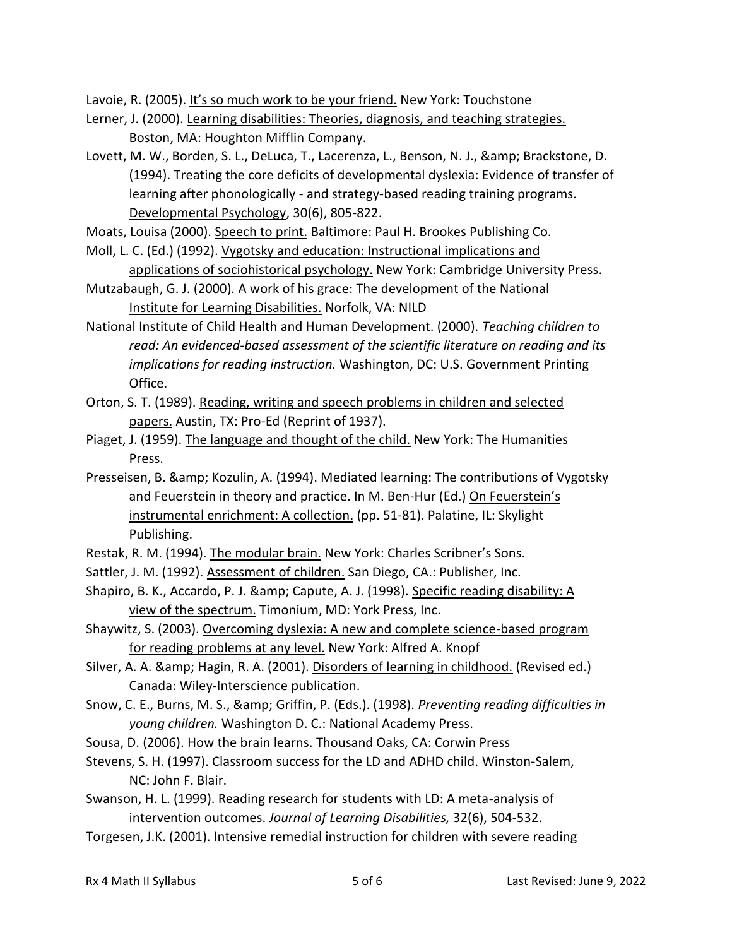Lavoie, R. (2005). It's so much work to be your friend. New York: Touchstone

- Lerner, J. (2000). Learning disabilities: Theories, diagnosis, and teaching strategies. Boston, MA: Houghton Mifflin Company.
- Lovett, M. W., Borden, S. L., DeLuca, T., Lacerenza, L., Benson, N. J., & amp; Brackstone, D. (1994). Treating the core deficits of developmental dyslexia: Evidence of transfer of learning after phonologically - and strategy-based reading training programs. Developmental Psychology, 30(6), 805-822.
- Moats, Louisa (2000). Speech to print. Baltimore: Paul H. Brookes Publishing Co.
- Moll, L. C. (Ed.) (1992). Vygotsky and education: Instructional implications and applications of sociohistorical psychology. New York: Cambridge University Press.
- Mutzabaugh, G. J. (2000). A work of his grace: The development of the National Institute for Learning Disabilities. Norfolk, VA: NILD
- National Institute of Child Health and Human Development. (2000). *Teaching children to read: An evidenced-based assessment of the scientific literature on reading and its implications for reading instruction.* Washington, DC: U.S. Government Printing Office.
- Orton, S. T. (1989). Reading, writing and speech problems in children and selected papers. Austin, TX: Pro-Ed (Reprint of 1937).
- Piaget, J. (1959). The language and thought of the child. New York: The Humanities Press.
- Presseisen, B. & amp; Kozulin, A. (1994). Mediated learning: The contributions of Vygotsky and Feuerstein in theory and practice. In M. Ben-Hur (Ed.) On Feuerstein's instrumental enrichment: A collection. (pp. 51-81). Palatine, IL: Skylight Publishing.
- Restak, R. M. (1994). The modular brain. New York: Charles Scribner's Sons.
- Sattler, J. M. (1992). Assessment of children. San Diego, CA.: Publisher, Inc.
- Shapiro, B. K., Accardo, P. J. & amp; Capute, A. J. (1998). Specific reading disability: A view of the spectrum. Timonium, MD: York Press, Inc.
- Shaywitz, S. (2003). Overcoming dyslexia: A new and complete science-based program for reading problems at any level. New York: Alfred A. Knopf
- Silver, A. A. & amp; Hagin, R. A. (2001). Disorders of learning in childhood. (Revised ed.) Canada: Wiley-Interscience publication.
- Snow, C. E., Burns, M. S., & Griffin, P. (Eds.). (1998). *Preventing reading difficulties in young children.* Washington D. C.: National Academy Press.
- Sousa, D. (2006). How the brain learns. Thousand Oaks, CA: Corwin Press
- Stevens, S. H. (1997). Classroom success for the LD and ADHD child. Winston-Salem, NC: John F. Blair.
- Swanson, H. L. (1999). Reading research for students with LD: A meta-analysis of intervention outcomes. *Journal of Learning Disabilities,* 32(6), 504-532.
- Torgesen, J.K. (2001). Intensive remedial instruction for children with severe reading